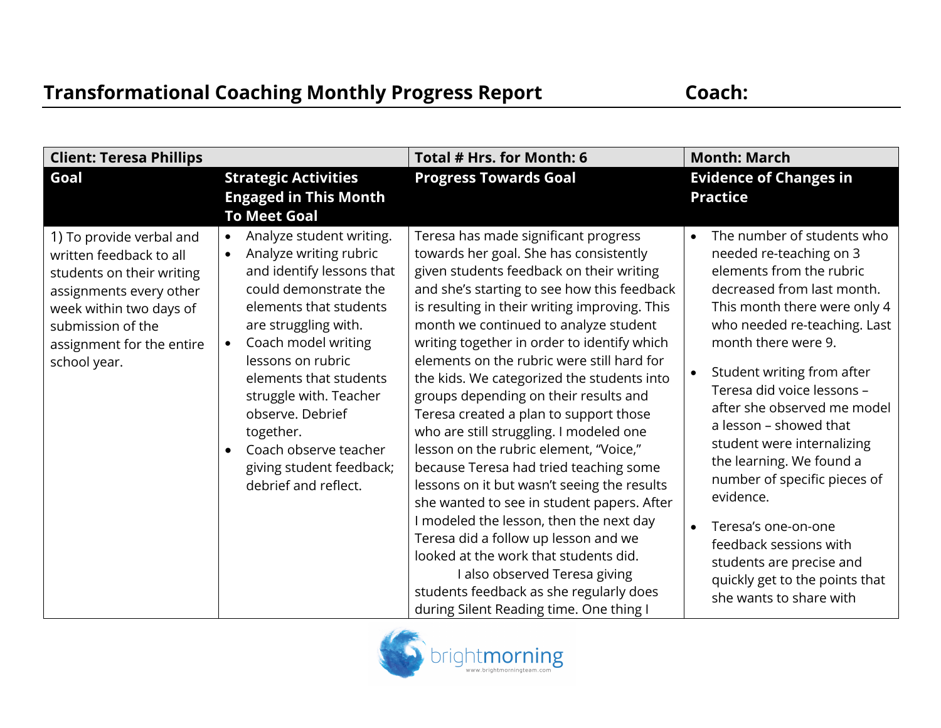| <b>Client: Teresa Phillips</b>                                                                                                                                                                           |                                                                                                                                                                                                                                                                                                                                                                                                                 | Total # Hrs. for Month: 6                                                                                                                                                                                                                                                                                                                                                                                                                                                                                                                                                                                                                                                                                                                                                                                                                                                                                                                                                        | <b>Month: March</b>                                                                                                                                                                                                                                                                                                                                                                                                                                                                                                                                                          |
|----------------------------------------------------------------------------------------------------------------------------------------------------------------------------------------------------------|-----------------------------------------------------------------------------------------------------------------------------------------------------------------------------------------------------------------------------------------------------------------------------------------------------------------------------------------------------------------------------------------------------------------|----------------------------------------------------------------------------------------------------------------------------------------------------------------------------------------------------------------------------------------------------------------------------------------------------------------------------------------------------------------------------------------------------------------------------------------------------------------------------------------------------------------------------------------------------------------------------------------------------------------------------------------------------------------------------------------------------------------------------------------------------------------------------------------------------------------------------------------------------------------------------------------------------------------------------------------------------------------------------------|------------------------------------------------------------------------------------------------------------------------------------------------------------------------------------------------------------------------------------------------------------------------------------------------------------------------------------------------------------------------------------------------------------------------------------------------------------------------------------------------------------------------------------------------------------------------------|
| Goal                                                                                                                                                                                                     | <b>Strategic Activities</b><br><b>Engaged in This Month</b><br><b>To Meet Goal</b>                                                                                                                                                                                                                                                                                                                              | <b>Progress Towards Goal</b>                                                                                                                                                                                                                                                                                                                                                                                                                                                                                                                                                                                                                                                                                                                                                                                                                                                                                                                                                     | <b>Evidence of Changes in</b><br><b>Practice</b>                                                                                                                                                                                                                                                                                                                                                                                                                                                                                                                             |
| 1) To provide verbal and<br>written feedback to all<br>students on their writing<br>assignments every other<br>week within two days of<br>submission of the<br>assignment for the entire<br>school year. | Analyze student writing.<br>$\bullet$<br>Analyze writing rubric<br>$\bullet$<br>and identify lessons that<br>could demonstrate the<br>elements that students<br>are struggling with.<br>Coach model writing<br>$\bullet$<br>lessons on rubric<br>elements that students<br>struggle with. Teacher<br>observe. Debrief<br>together.<br>Coach observe teacher<br>giving student feedback;<br>debrief and reflect. | Teresa has made significant progress<br>towards her goal. She has consistently<br>given students feedback on their writing<br>and she's starting to see how this feedback<br>is resulting in their writing improving. This<br>month we continued to analyze student<br>writing together in order to identify which<br>elements on the rubric were still hard for<br>the kids. We categorized the students into<br>groups depending on their results and<br>Teresa created a plan to support those<br>who are still struggling. I modeled one<br>lesson on the rubric element, "Voice,"<br>because Teresa had tried teaching some<br>lessons on it but wasn't seeing the results<br>she wanted to see in student papers. After<br>I modeled the lesson, then the next day<br>Teresa did a follow up lesson and we<br>looked at the work that students did.<br>I also observed Teresa giving<br>students feedback as she regularly does<br>during Silent Reading time. One thing I | The number of students who<br>needed re-teaching on 3<br>elements from the rubric<br>decreased from last month.<br>This month there were only 4<br>who needed re-teaching. Last<br>month there were 9.<br>Student writing from after<br>Teresa did voice lessons -<br>after she observed me model<br>a lesson – showed that<br>student were internalizing<br>the learning. We found a<br>number of specific pieces of<br>evidence.<br>Teresa's one-on-one<br>feedback sessions with<br>students are precise and<br>quickly get to the points that<br>she wants to share with |

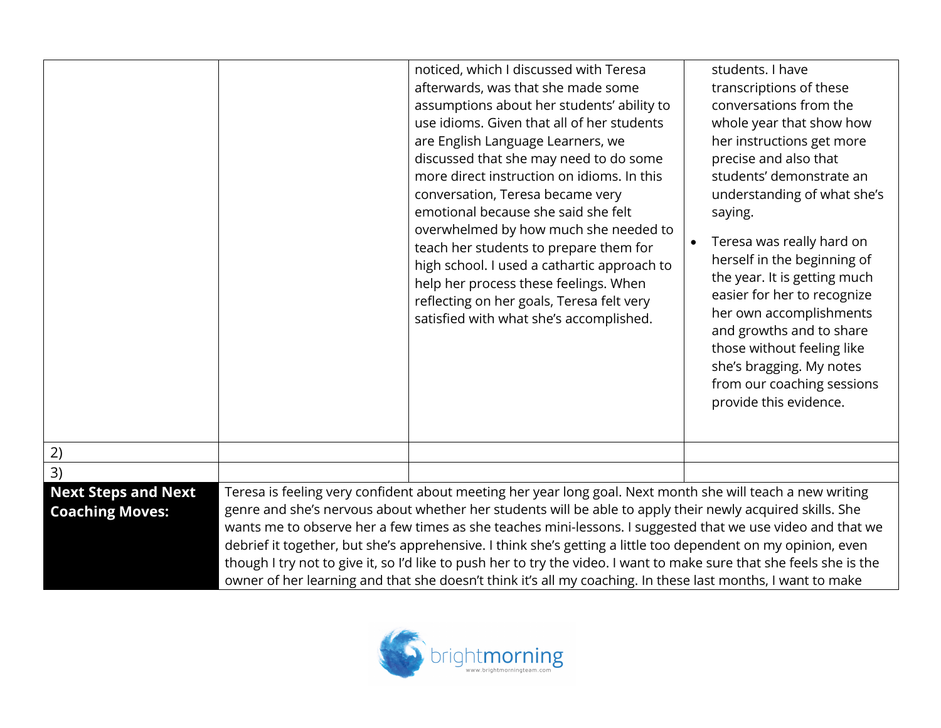|                                                      | noticed, which I discussed with Teresa<br>afterwards, was that she made some<br>assumptions about her students' ability to<br>use idioms. Given that all of her students<br>are English Language Learners, we<br>discussed that she may need to do some<br>more direct instruction on idioms. In this<br>conversation, Teresa became very<br>emotional because she said she felt<br>overwhelmed by how much she needed to<br>teach her students to prepare them for<br>high school. I used a cathartic approach to<br>help her process these feelings. When<br>reflecting on her goals, Teresa felt very<br>satisfied with what she's accomplished.                                           | students. I have<br>transcriptions of these<br>conversations from the<br>whole year that show how<br>her instructions get more<br>precise and also that<br>students' demonstrate an<br>understanding of what she's<br>saying.<br>Teresa was really hard on<br>$\bullet$<br>herself in the beginning of<br>the year. It is getting much<br>easier for her to recognize<br>her own accomplishments<br>and growths and to share<br>those without feeling like<br>she's bragging. My notes<br>from our coaching sessions<br>provide this evidence. |
|------------------------------------------------------|-----------------------------------------------------------------------------------------------------------------------------------------------------------------------------------------------------------------------------------------------------------------------------------------------------------------------------------------------------------------------------------------------------------------------------------------------------------------------------------------------------------------------------------------------------------------------------------------------------------------------------------------------------------------------------------------------|------------------------------------------------------------------------------------------------------------------------------------------------------------------------------------------------------------------------------------------------------------------------------------------------------------------------------------------------------------------------------------------------------------------------------------------------------------------------------------------------------------------------------------------------|
| 2)                                                   |                                                                                                                                                                                                                                                                                                                                                                                                                                                                                                                                                                                                                                                                                               |                                                                                                                                                                                                                                                                                                                                                                                                                                                                                                                                                |
| 3)                                                   |                                                                                                                                                                                                                                                                                                                                                                                                                                                                                                                                                                                                                                                                                               |                                                                                                                                                                                                                                                                                                                                                                                                                                                                                                                                                |
| <b>Next Steps and Next</b><br><b>Coaching Moves:</b> | Teresa is feeling very confident about meeting her year long goal. Next month she will teach a new writing<br>genre and she's nervous about whether her students will be able to apply their newly acquired skills. She<br>wants me to observe her a few times as she teaches mini-lessons. I suggested that we use video and that we<br>debrief it together, but she's apprehensive. I think she's getting a little too dependent on my opinion, even<br>though I try not to give it, so I'd like to push her to try the video. I want to make sure that she feels she is the<br>owner of her learning and that she doesn't think it's all my coaching. In these last months, I want to make |                                                                                                                                                                                                                                                                                                                                                                                                                                                                                                                                                |